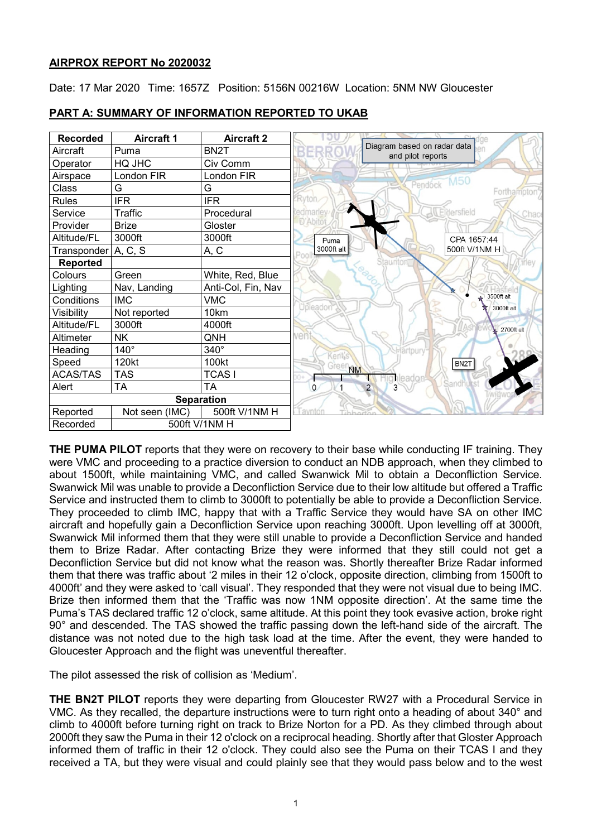# **AIRPROX REPORT No 2020032**

Date: 17 Mar 2020 Time: 1657Z Position: 5156N 00216W Location: 5NM NW Gloucester



# **PART A: SUMMARY OF INFORMATION REPORTED TO UKAB**

**THE PUMA PILOT** reports that they were on recovery to their base while conducting IF training. They were VMC and proceeding to a practice diversion to conduct an NDB approach, when they climbed to about 1500ft, while maintaining VMC, and called Swanwick Mil to obtain a Deconfliction Service. Swanwick Mil was unable to provide a Deconfliction Service due to their low altitude but offered a Traffic Service and instructed them to climb to 3000ft to potentially be able to provide a Deconfliction Service. They proceeded to climb IMC, happy that with a Traffic Service they would have SA on other IMC aircraft and hopefully gain a Deconfliction Service upon reaching 3000ft. Upon levelling off at 3000ft, Swanwick Mil informed them that they were still unable to provide a Deconfliction Service and handed them to Brize Radar. After contacting Brize they were informed that they still could not get a Deconfliction Service but did not know what the reason was. Shortly thereafter Brize Radar informed them that there was traffic about '2 miles in their 12 o'clock, opposite direction, climbing from 1500ft to 4000ft' and they were asked to 'call visual'. They responded that they were not visual due to being IMC. Brize then informed them that the 'Traffic was now 1NM opposite direction'. At the same time the Puma's TAS declared traffic 12 o'clock, same altitude. At this point they took evasive action, broke right 90° and descended. The TAS showed the traffic passing down the left-hand side of the aircraft. The distance was not noted due to the high task load at the time. After the event, they were handed to Gloucester Approach and the flight was uneventful thereafter.

The pilot assessed the risk of collision as 'Medium'.

**THE BN2T PILOT** reports they were departing from Gloucester RW27 with a Procedural Service in VMC. As they recalled, the departure instructions were to turn right onto a heading of about 340° and climb to 4000ft before turning right on track to Brize Norton for a PD. As they climbed through about 2000ft they saw the Puma in their 12 o'clock on a reciprocal heading. Shortly after that Gloster Approach informed them of traffic in their 12 o'clock. They could also see the Puma on their TCAS I and they received a TA, but they were visual and could plainly see that they would pass below and to the west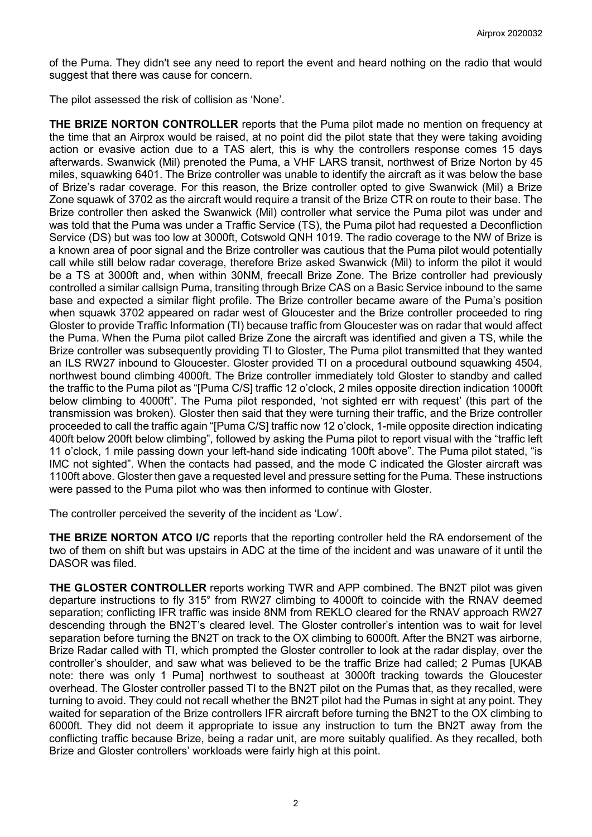of the Puma. They didn't see any need to report the event and heard nothing on the radio that would suggest that there was cause for concern.

The pilot assessed the risk of collision as 'None'.

**THE BRIZE NORTON CONTROLLER** reports that the Puma pilot made no mention on frequency at the time that an Airprox would be raised, at no point did the pilot state that they were taking avoiding action or evasive action due to a TAS alert, this is why the controllers response comes 15 days afterwards. Swanwick (Mil) prenoted the Puma, a VHF LARS transit, northwest of Brize Norton by 45 miles, squawking 6401. The Brize controller was unable to identify the aircraft as it was below the base of Brize's radar coverage. For this reason, the Brize controller opted to give Swanwick (Mil) a Brize Zone squawk of 3702 as the aircraft would require a transit of the Brize CTR on route to their base. The Brize controller then asked the Swanwick (Mil) controller what service the Puma pilot was under and was told that the Puma was under a Traffic Service (TS), the Puma pilot had requested a Deconfliction Service (DS) but was too low at 3000ft, Cotswold QNH 1019. The radio coverage to the NW of Brize is a known area of poor signal and the Brize controller was cautious that the Puma pilot would potentially call while still below radar coverage, therefore Brize asked Swanwick (Mil) to inform the pilot it would be a TS at 3000ft and, when within 30NM, freecall Brize Zone. The Brize controller had previously controlled a similar callsign Puma, transiting through Brize CAS on a Basic Service inbound to the same base and expected a similar flight profile. The Brize controller became aware of the Puma's position when squawk 3702 appeared on radar west of Gloucester and the Brize controller proceeded to ring Gloster to provide Traffic Information (TI) because traffic from Gloucester was on radar that would affect the Puma. When the Puma pilot called Brize Zone the aircraft was identified and given a TS, while the Brize controller was subsequently providing TI to Gloster, The Puma pilot transmitted that they wanted an ILS RW27 inbound to Gloucester. Gloster provided TI on a procedural outbound squawking 4504, northwest bound climbing 4000ft. The Brize controller immediately told Gloster to standby and called the traffic to the Puma pilot as "[Puma C/S] traffic 12 o'clock, 2 miles opposite direction indication 1000ft below climbing to 4000ft". The Puma pilot responded, 'not sighted err with request' (this part of the transmission was broken). Gloster then said that they were turning their traffic, and the Brize controller proceeded to call the traffic again "[Puma C/S] traffic now 12 o'clock, 1-mile opposite direction indicating 400ft below 200ft below climbing", followed by asking the Puma pilot to report visual with the "traffic left 11 o'clock, 1 mile passing down your left-hand side indicating 100ft above". The Puma pilot stated, "is IMC not sighted". When the contacts had passed, and the mode C indicated the Gloster aircraft was 1100ft above. Gloster then gave a requested level and pressure setting for the Puma. These instructions were passed to the Puma pilot who was then informed to continue with Gloster.

The controller perceived the severity of the incident as 'Low'.

**THE BRIZE NORTON ATCO I/C** reports that the reporting controller held the RA endorsement of the two of them on shift but was upstairs in ADC at the time of the incident and was unaware of it until the DASOR was filed.

**THE GLOSTER CONTROLLER** reports working TWR and APP combined. The BN2T pilot was given departure instructions to fly 315° from RW27 climbing to 4000ft to coincide with the RNAV deemed separation; conflicting IFR traffic was inside 8NM from REKLO cleared for the RNAV approach RW27 descending through the BN2T's cleared level. The Gloster controller's intention was to wait for level separation before turning the BN2T on track to the OX climbing to 6000ft. After the BN2T was airborne, Brize Radar called with TI, which prompted the Gloster controller to look at the radar display, over the controller's shoulder, and saw what was believed to be the traffic Brize had called; 2 Pumas [UKAB note: there was only 1 Puma] northwest to southeast at 3000ft tracking towards the Gloucester overhead. The Gloster controller passed TI to the BN2T pilot on the Pumas that, as they recalled, were turning to avoid. They could not recall whether the BN2T pilot had the Pumas in sight at any point. They waited for separation of the Brize controllers IFR aircraft before turning the BN2T to the OX climbing to 6000ft. They did not deem it appropriate to issue any instruction to turn the BN2T away from the conflicting traffic because Brize, being a radar unit, are more suitably qualified. As they recalled, both Brize and Gloster controllers' workloads were fairly high at this point.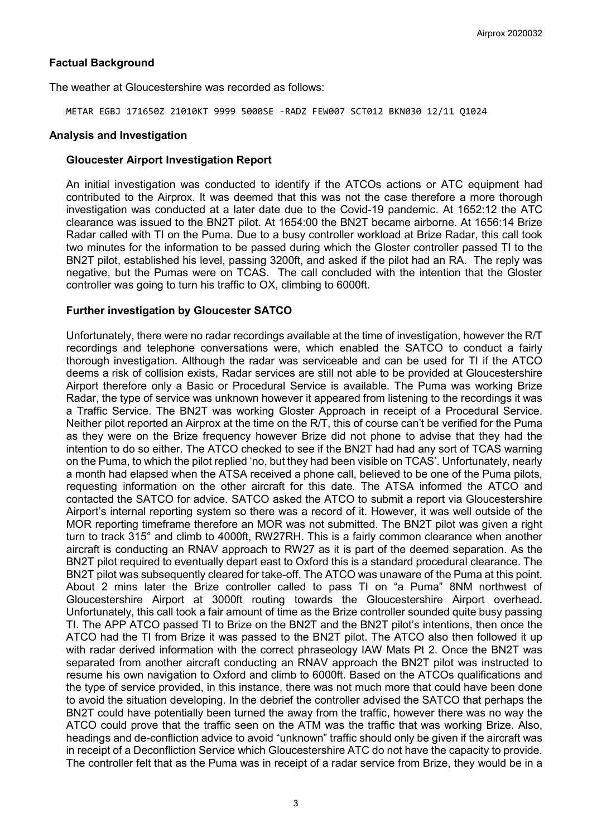## **Factual Background**

The weather at Gloucestershire was recorded as follows:

METAR EGBJ 171650Z 21010KT 9999 5000SE -RADZ FEW007 SCT012 BKN030 12/11 Q1024

#### **Analysis and Investigation**

## **Gloucester Airport Investigation Report**

An initial investigation was conducted to identify if the ATCOs actions or ATC equipment had contributed to the Airprox. It was deemed that this was not the case therefore a more thorough investigation was conducted at a later date due to the Covid-19 pandemic. At 1652:12 the ATC clearance was issued to the BN2T pilot. At 1654:00 the BN2T became airborne. At 1656:14 Brize Radar called with TI on the Puma. Due to a busy controller workload at Brize Radar, this call took two minutes for the information to be passed during which the Gloster controller passed TI to the BN2T pilot, established his level, passing 3200ft, and asked if the pilot had an RA. The reply was negative, but the Pumas were on TCAS. The call concluded with the intention that the Gloster controller was going to turn his traffic to OX, climbing to 6000ft.

# **Further investigation by Gloucester SATCO**

Unfortunately, there were no radar recordings available at the time of investigation, however the R/T recordings and telephone conversations were, which enabled the SATCO to conduct a fairly thorough investigation. Although the radar was serviceable and can be used for TI if the ATCO deems a risk of collision exists, Radar services are still not able to be provided at Gloucestershire Airport therefore only a Basic or Procedural Service is available. The Puma was working Brize Radar, the type of service was unknown however it appeared from listening to the recordings it was a Traffic Service. The BN2T was working Gloster Approach in receipt of a Procedural Service. Neither pilot reported an Airprox at the time on the R/T, this of course can't be verified for the Puma as they were on the Brize frequency however Brize did not phone to advise that they had the intention to do so either. The ATCO checked to see if the BN2T had had any sort of TCAS warning on the Puma, to which the pilot replied 'no, but they had been visible on TCAS'. Unfortunately, nearly a month had elapsed when the ATSA received a phone call, believed to be one of the Puma pilots, requesting information on the other aircraft for this date. The ATSA informed the ATCO and contacted the SATCO for advice. SATCO asked the ATCO to submit a report via Gloucestershire Airport's internal reporting system so there was a record of it. However, it was well outside of the MOR reporting timeframe therefore an MOR was not submitted. The BN2T pilot was given a right turn to track 315° and climb to 4000ft, RW27RH. This is a fairly common clearance when another aircraft is conducting an RNAV approach to RW27 as it is part of the deemed separation. As the BN2T pilot required to eventually depart east to Oxford this is a standard procedural clearance. The BN2T pilot was subsequently cleared for take-off. The ATCO was unaware of the Puma at this point. About 2 mins later the Brize controller called to pass TI on "a Puma" 8NM northwest of Gloucestershire Airport at 3000ft routing towards the Gloucestershire Airport overhead. Unfortunately, this call took a fair amount of time as the Brize controller sounded quite busy passing TI. The APP ATCO passed TI to Brize on the BN2T and the BN2T pilot's intentions, then once the ATCO had the TI from Brize it was passed to the BN2T pilot. The ATCO also then followed it up with radar derived information with the correct phraseology IAW Mats Pt 2. Once the BN2T was separated from another aircraft conducting an RNAV approach the BN2T pilot was instructed to resume his own navigation to Oxford and climb to 6000ft. Based on the ATCOs qualifications and the type of service provided, in this instance, there was not much more that could have been done to avoid the situation developing. In the debrief the controller advised the SATCO that perhaps the BN2T could have potentially been turned the away from the traffic, however there was no way the ATCO could prove that the traffic seen on the ATM was the traffic that was working Brize. Also, headings and de-confliction advice to avoid "unknown" traffic should only be given if the aircraft was in receipt of a Deconfliction Service which Gloucestershire ATC do not have the capacity to provide. The controller felt that as the Puma was in receipt of a radar service from Brize, they would be in a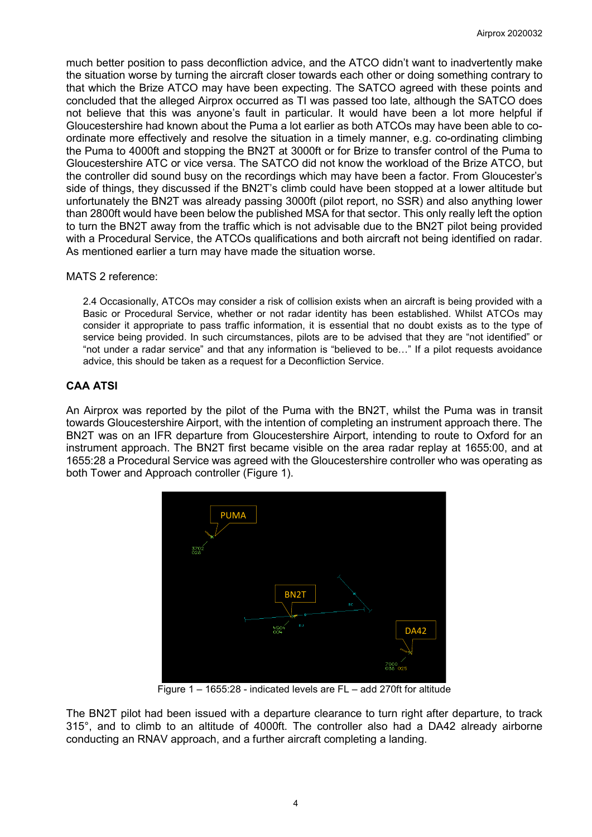much better position to pass deconfliction advice, and the ATCO didn't want to inadvertently make the situation worse by turning the aircraft closer towards each other or doing something contrary to that which the Brize ATCO may have been expecting. The SATCO agreed with these points and concluded that the alleged Airprox occurred as TI was passed too late, although the SATCO does not believe that this was anyone's fault in particular. It would have been a lot more helpful if Gloucestershire had known about the Puma a lot earlier as both ATCOs may have been able to coordinate more effectively and resolve the situation in a timely manner, e.g. co-ordinating climbing the Puma to 4000ft and stopping the BN2T at 3000ft or for Brize to transfer control of the Puma to Gloucestershire ATC or vice versa. The SATCO did not know the workload of the Brize ATCO, but the controller did sound busy on the recordings which may have been a factor. From Gloucester's side of things, they discussed if the BN2T's climb could have been stopped at a lower altitude but unfortunately the BN2T was already passing 3000ft (pilot report, no SSR) and also anything lower than 2800ft would have been below the published MSA for that sector. This only really left the option to turn the BN2T away from the traffic which is not advisable due to the BN2T pilot being provided with a Procedural Service, the ATCOs qualifications and both aircraft not being identified on radar. As mentioned earlier a turn may have made the situation worse.

## MATS 2 reference:

2.4 Occasionally, ATCOs may consider a risk of collision exists when an aircraft is being provided with a Basic or Procedural Service, whether or not radar identity has been established. Whilst ATCOs may consider it appropriate to pass traffic information, it is essential that no doubt exists as to the type of service being provided. In such circumstances, pilots are to be advised that they are "not identified" or "not under a radar service" and that any information is "believed to be…" If a pilot requests avoidance advice, this should be taken as a request for a Deconfliction Service.

# **CAA ATSI**

An Airprox was reported by the pilot of the Puma with the BN2T, whilst the Puma was in transit towards Gloucestershire Airport, with the intention of completing an instrument approach there. The BN2T was on an IFR departure from Gloucestershire Airport, intending to route to Oxford for an instrument approach. The BN2T first became visible on the area radar replay at 1655:00, and at 1655:28 a Procedural Service was agreed with the Gloucestershire controller who was operating as both Tower and Approach controller (Figure 1).



Figure 1 – 1655:28 - indicated levels are FL – add 270ft for altitude

The BN2T pilot had been issued with a departure clearance to turn right after departure, to track 315°, and to climb to an altitude of 4000ft. The controller also had a DA42 already airborne conducting an RNAV approach, and a further aircraft completing a landing.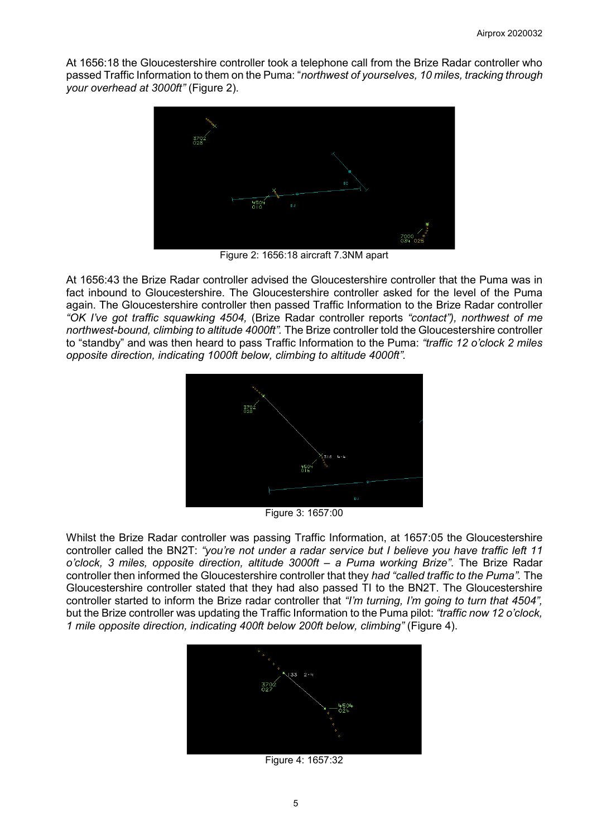At 1656:18 the Gloucestershire controller took a telephone call from the Brize Radar controller who passed Traffic Information to them on the Puma: "*northwest of yourselves, 10 miles, tracking through your overhead at 3000ft"* (Figure 2).



Figure 2: 1656:18 aircraft 7.3NM apart

At 1656:43 the Brize Radar controller advised the Gloucestershire controller that the Puma was in fact inbound to Gloucestershire. The Gloucestershire controller asked for the level of the Puma again. The Gloucestershire controller then passed Traffic Information to the Brize Radar controller *"OK I've got traffic squawking 4504,* (Brize Radar controller reports *"contact"), northwest of me northwest-bound, climbing to altitude 4000ft".* The Brize controller told the Gloucestershire controller to "standby" and was then heard to pass Traffic Information to the Puma: *"traffic 12 o'clock 2 miles opposite direction, indicating 1000ft below, climbing to altitude 4000ft".*



Figure 3: 1657:00

Whilst the Brize Radar controller was passing Traffic Information, at 1657:05 the Gloucestershire controller called the BN2T: *"you're not under a radar service but I believe you have traffic left 11 o'clock, 3 miles, opposite direction, altitude 3000ft – a Puma working Brize"*. The Brize Radar controller then informed the Gloucestershire controller that they *had "called traffic to the Puma".* The Gloucestershire controller stated that they had also passed TI to the BN2T. The Gloucestershire controller started to inform the Brize radar controller that *"I'm turning, I'm going to turn that 4504",* but the Brize controller was updating the Traffic Information to the Puma pilot: *"traffic now 12 o'clock, 1 mile opposite direction, indicating 400ft below 200ft below, climbing"* (Figure 4).



Figure 4: 1657:32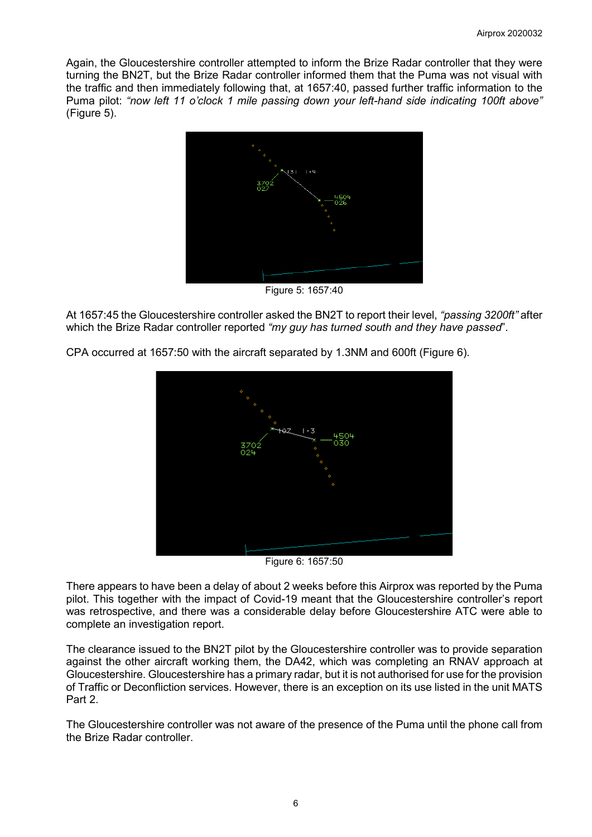Again, the Gloucestershire controller attempted to inform the Brize Radar controller that they were turning the BN2T, but the Brize Radar controller informed them that the Puma was not visual with the traffic and then immediately following that, at 1657:40, passed further traffic information to the Puma pilot: *"now left 11 o'clock 1 mile passing down your left-hand side indicating 100ft above"* (Figure 5).



Figure 5: 1657:40

At 1657:45 the Gloucestershire controller asked the BN2T to report their level, *"passing 3200ft"* after which the Brize Radar controller reported *"my guy has turned south and they have passed*".



CPA occurred at 1657:50 with the aircraft separated by 1.3NM and 600ft (Figure 6).

Figure 6: 1657:50

There appears to have been a delay of about 2 weeks before this Airprox was reported by the Puma pilot. This together with the impact of Covid-19 meant that the Gloucestershire controller's report was retrospective, and there was a considerable delay before Gloucestershire ATC were able to complete an investigation report.

The clearance issued to the BN2T pilot by the Gloucestershire controller was to provide separation against the other aircraft working them, the DA42, which was completing an RNAV approach at Gloucestershire. Gloucestershire has a primary radar, but it is not authorised for use for the provision of Traffic or Deconfliction services. However, there is an exception on its use listed in the unit MATS Part 2.

The Gloucestershire controller was not aware of the presence of the Puma until the phone call from the Brize Radar controller.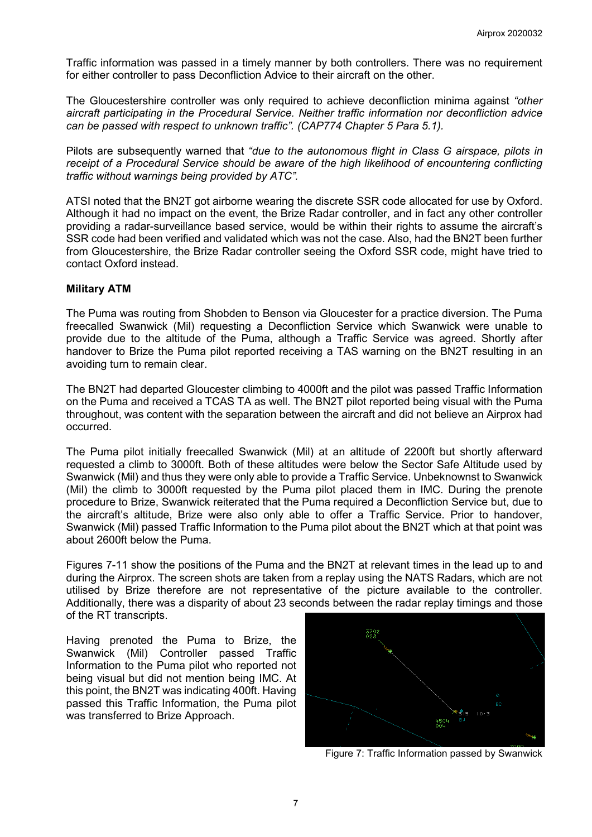Traffic information was passed in a timely manner by both controllers. There was no requirement for either controller to pass Deconfliction Advice to their aircraft on the other.

The Gloucestershire controller was only required to achieve deconfliction minima against *"other aircraft participating in the Procedural Service. Neither traffic information nor deconfliction advice can be passed with respect to unknown traffic". (CAP774 Chapter 5 Para 5.1).* 

Pilots are subsequently warned that *"due to the autonomous flight in Class G airspace, pilots in receipt of a Procedural Service should be aware of the high likelihood of encountering conflicting traffic without warnings being provided by ATC".*

ATSI noted that the BN2T got airborne wearing the discrete SSR code allocated for use by Oxford. Although it had no impact on the event, the Brize Radar controller, and in fact any other controller providing a radar-surveillance based service, would be within their rights to assume the aircraft's SSR code had been verified and validated which was not the case. Also, had the BN2T been further from Gloucestershire, the Brize Radar controller seeing the Oxford SSR code, might have tried to contact Oxford instead.

#### **Military ATM**

The Puma was routing from Shobden to Benson via Gloucester for a practice diversion. The Puma freecalled Swanwick (Mil) requesting a Deconfliction Service which Swanwick were unable to provide due to the altitude of the Puma, although a Traffic Service was agreed. Shortly after handover to Brize the Puma pilot reported receiving a TAS warning on the BN2T resulting in an avoiding turn to remain clear.

The BN2T had departed Gloucester climbing to 4000ft and the pilot was passed Traffic Information on the Puma and received a TCAS TA as well. The BN2T pilot reported being visual with the Puma throughout, was content with the separation between the aircraft and did not believe an Airprox had occurred.

The Puma pilot initially freecalled Swanwick (Mil) at an altitude of 2200ft but shortly afterward requested a climb to 3000ft. Both of these altitudes were below the Sector Safe Altitude used by Swanwick (Mil) and thus they were only able to provide a Traffic Service. Unbeknownst to Swanwick (Mil) the climb to 3000ft requested by the Puma pilot placed them in IMC. During the prenote procedure to Brize, Swanwick reiterated that the Puma required a Deconfliction Service but, due to the aircraft's altitude, Brize were also only able to offer a Traffic Service. Prior to handover, Swanwick (Mil) passed Traffic Information to the Puma pilot about the BN2T which at that point was about 2600ft below the Puma.

Figures 7-11 show the positions of the Puma and the BN2T at relevant times in the lead up to and during the Airprox. The screen shots are taken from a replay using the NATS Radars, which are not utilised by Brize therefore are not representative of the picture available to the controller. Additionally, there was a disparity of about 23 seconds between the radar replay timings and those of the RT transcripts.

Having prenoted the Puma to Brize, the Swanwick (Mil) Controller passed Traffic Information to the Puma pilot who reported not being visual but did not mention being IMC. At this point, the BN2T was indicating 400ft. Having passed this Traffic Information, the Puma pilot was transferred to Brize Approach.



Figure 7: Traffic Information passed by Swanwick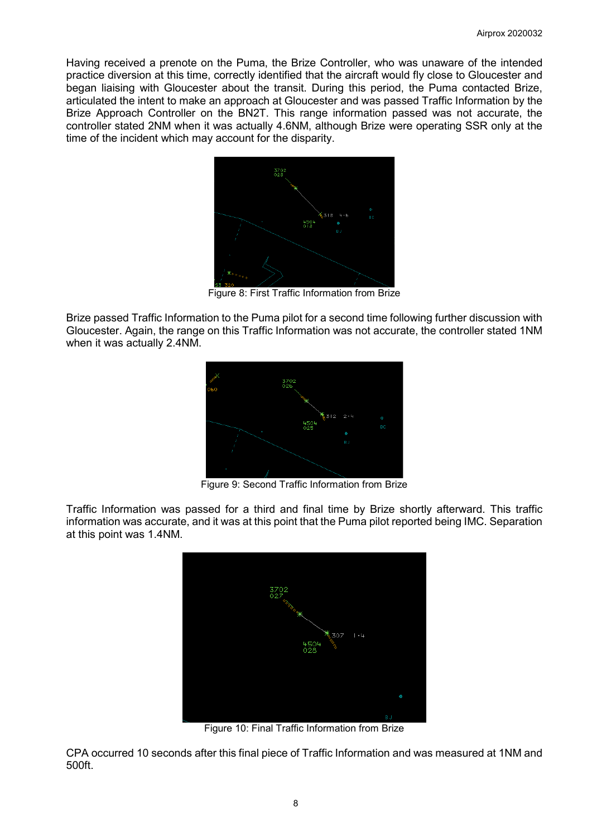Having received a prenote on the Puma, the Brize Controller, who was unaware of the intended practice diversion at this time, correctly identified that the aircraft would fly close to Gloucester and began liaising with Gloucester about the transit. During this period, the Puma contacted Brize, articulated the intent to make an approach at Gloucester and was passed Traffic Information by the Brize Approach Controller on the BN2T. This range information passed was not accurate, the controller stated 2NM when it was actually 4.6NM, although Brize were operating SSR only at the time of the incident which may account for the disparity.



Figure 8: First Traffic Information from Brize

Brize passed Traffic Information to the Puma pilot for a second time following further discussion with Gloucester. Again, the range on this Traffic Information was not accurate, the controller stated 1NM when it was actually 2.4NM.



Figure 9: Second Traffic Information from Brize

Traffic Information was passed for a third and final time by Brize shortly afterward. This traffic information was accurate, and it was at this point that the Puma pilot reported being IMC. Separation at this point was 1.4NM.



Figure 10: Final Traffic Information from Brize

CPA occurred 10 seconds after this final piece of Traffic Information and was measured at 1NM and 500ft.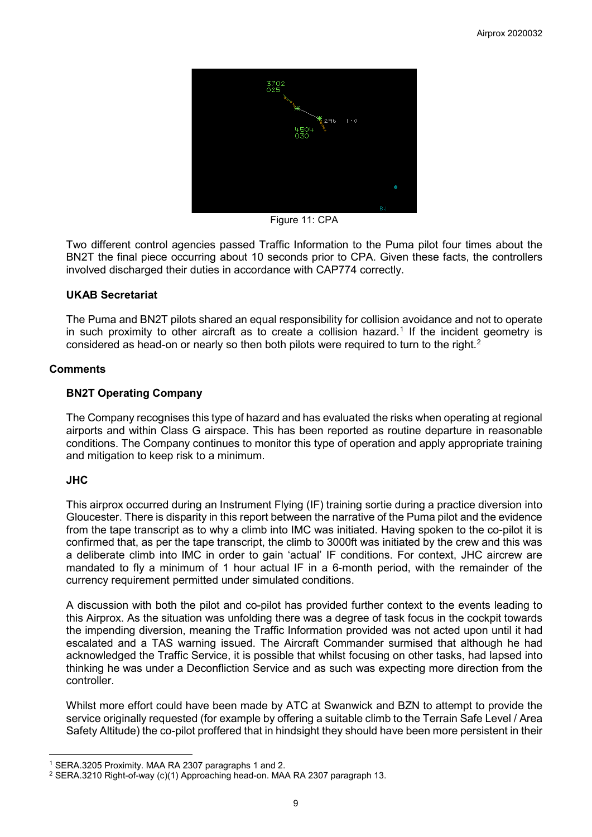

Figure 11: CPA

Two different control agencies passed Traffic Information to the Puma pilot four times about the BN2T the final piece occurring about 10 seconds prior to CPA. Given these facts, the controllers involved discharged their duties in accordance with CAP774 correctly.

## **UKAB Secretariat**

The Puma and BN2T pilots shared an equal responsibility for collision avoidance and not to operate in such proximity to other aircraft as to create a collision hazard. [1](#page-8-0) If the incident geometry is considered as head-on or nearly so then both pilots were required to turn to the right.<sup>[2](#page-8-1)</sup>

## **Comments**

## **BN2T Operating Company**

The Company recognises this type of hazard and has evaluated the risks when operating at regional airports and within Class G airspace. This has been reported as routine departure in reasonable conditions. The Company continues to monitor this type of operation and apply appropriate training and mitigation to keep risk to a minimum.

# **JHC**

 $\overline{\phantom{a}}$ 

This airprox occurred during an Instrument Flying (IF) training sortie during a practice diversion into Gloucester. There is disparity in this report between the narrative of the Puma pilot and the evidence from the tape transcript as to why a climb into IMC was initiated. Having spoken to the co-pilot it is confirmed that, as per the tape transcript, the climb to 3000ft was initiated by the crew and this was a deliberate climb into IMC in order to gain 'actual' IF conditions. For context, JHC aircrew are mandated to fly a minimum of 1 hour actual IF in a 6-month period, with the remainder of the currency requirement permitted under simulated conditions.

A discussion with both the pilot and co-pilot has provided further context to the events leading to this Airprox. As the situation was unfolding there was a degree of task focus in the cockpit towards the impending diversion, meaning the Traffic Information provided was not acted upon until it had escalated and a TAS warning issued. The Aircraft Commander surmised that although he had acknowledged the Traffic Service, it is possible that whilst focusing on other tasks, had lapsed into thinking he was under a Deconfliction Service and as such was expecting more direction from the controller.

Whilst more effort could have been made by ATC at Swanwick and BZN to attempt to provide the service originally requested (for example by offering a suitable climb to the Terrain Safe Level / Area Safety Altitude) the co-pilot proffered that in hindsight they should have been more persistent in their

<span id="page-8-0"></span><sup>1</sup> SERA.3205 Proximity. MAA RA 2307 paragraphs 1 and 2.

<span id="page-8-1"></span><sup>2</sup> SERA.3210 Right-of-way (c)(1) Approaching head-on. MAA RA 2307 paragraph 13.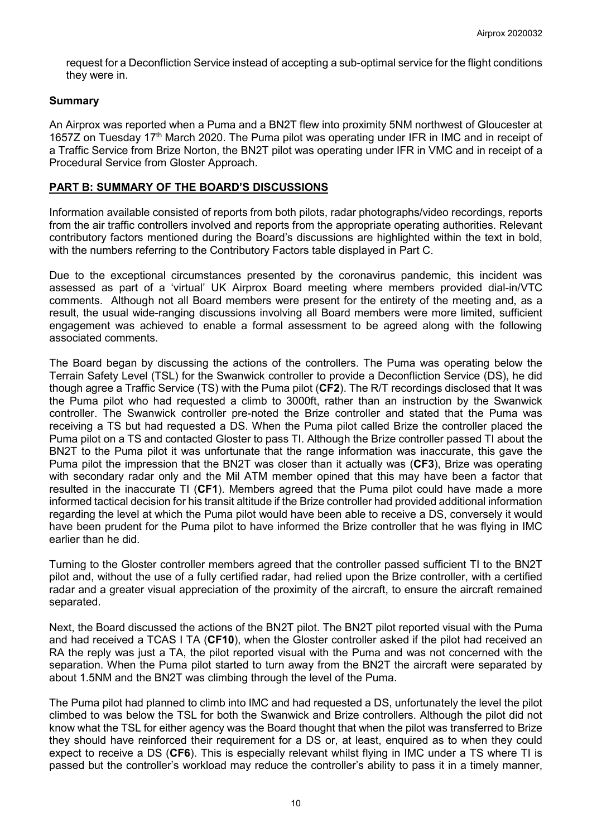request for a Deconfliction Service instead of accepting a sub-optimal service for the flight conditions they were in.

## **Summary**

An Airprox was reported when a Puma and a BN2T flew into proximity 5NM northwest of Gloucester at 1657Z on Tuesday 17<sup>th</sup> March 2020. The Puma pilot was operating under IFR in IMC and in receipt of a Traffic Service from Brize Norton, the BN2T pilot was operating under IFR in VMC and in receipt of a Procedural Service from Gloster Approach.

## **PART B: SUMMARY OF THE BOARD'S DISCUSSIONS**

Information available consisted of reports from both pilots, radar photographs/video recordings, reports from the air traffic controllers involved and reports from the appropriate operating authorities. Relevant contributory factors mentioned during the Board's discussions are highlighted within the text in bold, with the numbers referring to the Contributory Factors table displayed in Part C.

Due to the exceptional circumstances presented by the coronavirus pandemic, this incident was assessed as part of a 'virtual' UK Airprox Board meeting where members provided dial-in/VTC comments. Although not all Board members were present for the entirety of the meeting and, as a result, the usual wide-ranging discussions involving all Board members were more limited, sufficient engagement was achieved to enable a formal assessment to be agreed along with the following associated comments.

The Board began by discussing the actions of the controllers. The Puma was operating below the Terrain Safety Level (TSL) for the Swanwick controller to provide a Deconfliction Service (DS), he did though agree a Traffic Service (TS) with the Puma pilot (**CF2**). The R/T recordings disclosed that It was the Puma pilot who had requested a climb to 3000ft, rather than an instruction by the Swanwick controller. The Swanwick controller pre-noted the Brize controller and stated that the Puma was receiving a TS but had requested a DS. When the Puma pilot called Brize the controller placed the Puma pilot on a TS and contacted Gloster to pass TI. Although the Brize controller passed TI about the BN2T to the Puma pilot it was unfortunate that the range information was inaccurate, this gave the Puma pilot the impression that the BN2T was closer than it actually was (**CF3**), Brize was operating with secondary radar only and the Mil ATM member opined that this may have been a factor that resulted in the inaccurate TI (**CF1**). Members agreed that the Puma pilot could have made a more informed tactical decision for his transit altitude if the Brize controller had provided additional information regarding the level at which the Puma pilot would have been able to receive a DS, conversely it would have been prudent for the Puma pilot to have informed the Brize controller that he was flying in IMC earlier than he did.

Turning to the Gloster controller members agreed that the controller passed sufficient TI to the BN2T pilot and, without the use of a fully certified radar, had relied upon the Brize controller, with a certified radar and a greater visual appreciation of the proximity of the aircraft, to ensure the aircraft remained separated.

Next, the Board discussed the actions of the BN2T pilot. The BN2T pilot reported visual with the Puma and had received a TCAS I TA (**CF10**), when the Gloster controller asked if the pilot had received an RA the reply was just a TA, the pilot reported visual with the Puma and was not concerned with the separation. When the Puma pilot started to turn away from the BN2T the aircraft were separated by about 1.5NM and the BN2T was climbing through the level of the Puma.

The Puma pilot had planned to climb into IMC and had requested a DS, unfortunately the level the pilot climbed to was below the TSL for both the Swanwick and Brize controllers. Although the pilot did not know what the TSL for either agency was the Board thought that when the pilot was transferred to Brize they should have reinforced their requirement for a DS or, at least, enquired as to when they could expect to receive a DS (**CF6**). This is especially relevant whilst flying in IMC under a TS where TI is passed but the controller's workload may reduce the controller's ability to pass it in a timely manner,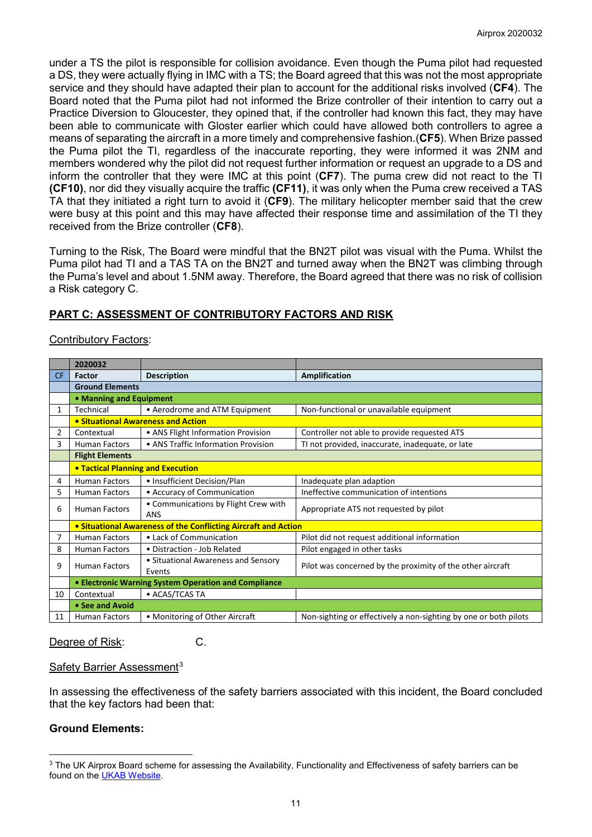under a TS the pilot is responsible for collision avoidance. Even though the Puma pilot had requested a DS, they were actually flying in IMC with a TS; the Board agreed that this was not the most appropriate service and they should have adapted their plan to account for the additional risks involved (**CF4**). The Board noted that the Puma pilot had not informed the Brize controller of their intention to carry out a Practice Diversion to Gloucester, they opined that, if the controller had known this fact, they may have been able to communicate with Gloster earlier which could have allowed both controllers to agree a means of separating the aircraft in a more timely and comprehensive fashion.(**CF5**). When Brize passed the Puma pilot the TI, regardless of the inaccurate reporting, they were informed it was 2NM and members wondered why the pilot did not request further information or request an upgrade to a DS and inform the controller that they were IMC at this point (**CF7**). The puma crew did not react to the TI **(CF10)**, nor did they visually acquire the traffic **(CF11)**, it was only when the Puma crew received a TAS TA that they initiated a right turn to avoid it (**CF9**). The military helicopter member said that the crew were busy at this point and this may have affected their response time and assimilation of the TI they received from the Brize controller (**CF8**).

Turning to the Risk, The Board were mindful that the BN2T pilot was visual with the Puma. Whilst the Puma pilot had TI and a TAS TA on the BN2T and turned away when the BN2T was climbing through the Puma's level and about 1.5NM away. Therefore, the Board agreed that there was no risk of collision a Risk category C.

# **PART C: ASSESSMENT OF CONTRIBUTORY FACTORS AND RISK**

# Contributory Factors:

|              | 2020032                                              |                                                                       |                                                                  |  |
|--------------|------------------------------------------------------|-----------------------------------------------------------------------|------------------------------------------------------------------|--|
| CF.          | Factor                                               | <b>Description</b>                                                    | Amplification                                                    |  |
|              | <b>Ground Elements</b>                               |                                                                       |                                                                  |  |
|              | • Manning and Equipment                              |                                                                       |                                                                  |  |
| $\mathbf{1}$ | Technical                                            | • Aerodrome and ATM Equipment                                         | Non-functional or unavailable equipment                          |  |
|              | • Situational Awareness and Action                   |                                                                       |                                                                  |  |
| 2            | Contextual                                           | • ANS Flight Information Provision                                    | Controller not able to provide requested ATS                     |  |
| 3            | <b>Human Factors</b>                                 | • ANS Traffic Information Provision                                   | TI not provided, inaccurate, inadequate, or late                 |  |
|              | <b>Flight Elements</b>                               |                                                                       |                                                                  |  |
|              |                                                      | <b>• Tactical Planning and Execution</b>                              |                                                                  |  |
| 4            | <b>Human Factors</b>                                 | • Insufficient Decision/Plan                                          | Inadequate plan adaption                                         |  |
| 5.           | <b>Human Factors</b>                                 | • Accuracy of Communication                                           | Ineffective communication of intentions                          |  |
| 6            | <b>Human Factors</b>                                 | • Communications by Flight Crew with<br><b>ANS</b>                    | Appropriate ATS not requested by pilot                           |  |
|              |                                                      | <b>• Situational Awareness of the Conflicting Aircraft and Action</b> |                                                                  |  |
| 7            | <b>Human Factors</b>                                 | • Lack of Communication                                               | Pilot did not request additional information                     |  |
| 8            | <b>Human Factors</b>                                 | • Distraction - Job Related                                           | Pilot engaged in other tasks                                     |  |
| 9            | <b>Human Factors</b>                                 | • Situational Awareness and Sensory<br>Events                         | Pilot was concerned by the proximity of the other aircraft       |  |
|              | • Electronic Warning System Operation and Compliance |                                                                       |                                                                  |  |
| 10           | Contextual                                           | • ACAS/TCAS TA                                                        |                                                                  |  |
|              | • See and Avoid                                      |                                                                       |                                                                  |  |
| 11           | <b>Human Factors</b>                                 | • Monitoring of Other Aircraft                                        | Non-sighting or effectively a non-sighting by one or both pilots |  |

Degree of Risk: C.

#### Safety Barrier Assessment<sup>[3](#page-10-0)</sup>

In assessing the effectiveness of the safety barriers associated with this incident, the Board concluded that the key factors had been that:

# **Ground Elements:**

 $\overline{\phantom{a}}$ 

<span id="page-10-0"></span><sup>&</sup>lt;sup>3</sup> The UK Airprox Board scheme for assessing the Availability, Functionality and Effectiveness of safety barriers can be found on the [UKAB Website.](http://www.airproxboard.org.uk/Learn-more/Airprox-Barrier-Assessment/)